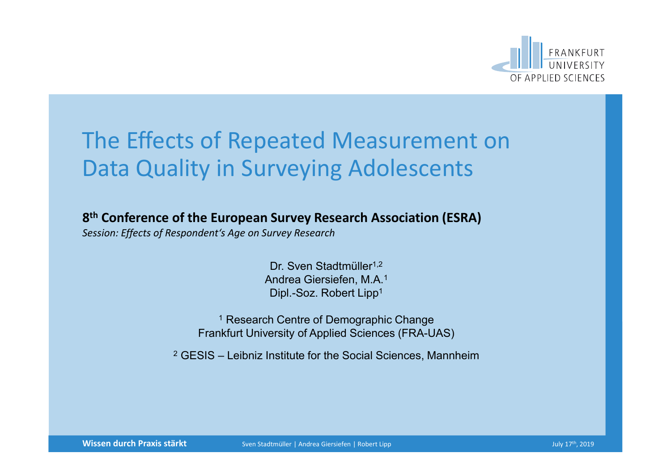

### The Effects of Repeated Measurement on Data Quality in Surveying Adolescents

8th Conference of the European Survey Research Association (ESRA)

*Session: Effects of Respondent's Age on Survey Research*

Dr. Sven Stadtmüller<sup>1,2</sup> Andrea Giersiefen, M.A.1 Dipl.-Soz. Robert Lipp1

<sup>1</sup> Research Centre of Demographic Change Frankfurt University of Applied Sciences (FRA-UAS)

<sup>2</sup> GESIS – Leibniz Institute for the Social Sciences, Mannheim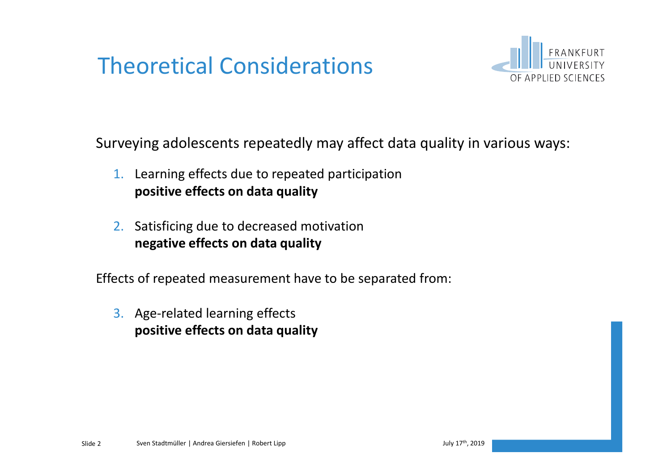# Theoretical Considerations



Surveying adolescents repeatedly may affect data quality in various ways:

- 1. Learning effects due to repeated participation positive effects on data quality
- 2. Satisficing due to decreased motivation negative effects on data quality

Effects of repeated measurement have to be separated from:

3. Age-related learning effects positive effects on data quality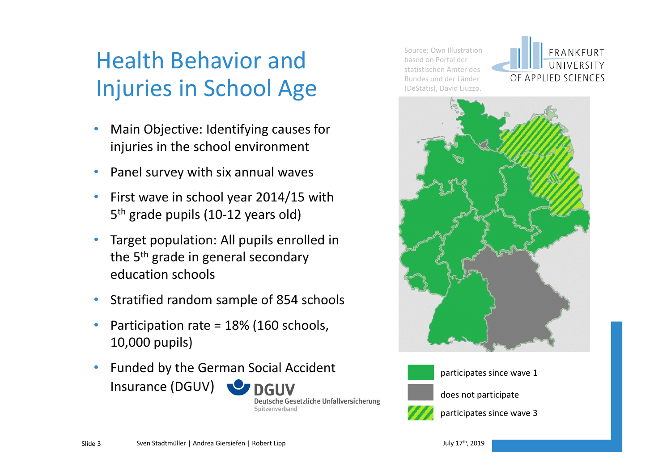# Health Behavior and Injuries in School Age

- Main Objective: Identifying causes for injuries in the school environment
- Panel survey with six annual waves
- First wave in school year 2014/15 with 5th grade pupils (10-12 years old)
- Target population: All pupils enrolled in the 5<sup>th</sup> grade in general secondary education schools
- Stratified random sample of 854 schools
- Participation rate = 18% (160 schools, 10,000 pupils)
- Funded by the German Social Accident Insurance (DGUV) **O** DGUV

Deutsche Gesetzliche Unfallversicherung Spitzenverband

Source: Own Illustration based on Portal der statistischen Ämter des Bundes und der Länder (DeStatis), David Liuzzo.







participates since wave 1



does not participate



participates since wave 3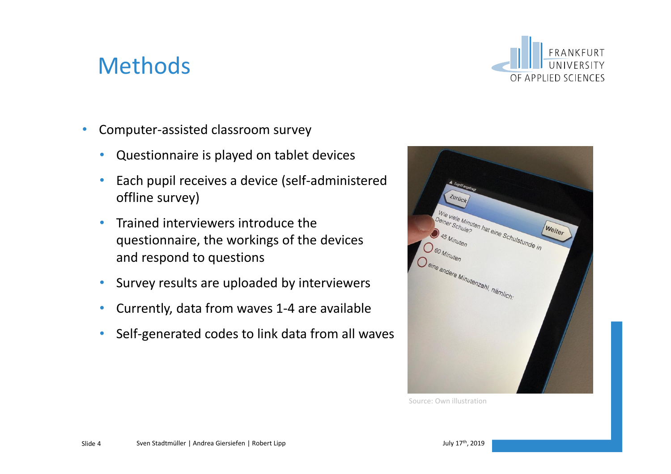### Methods



- Computer-assisted classroom survey
	- Questionnaire is played on tablet devices
	- Each pupil receives a device (self-administered offline survey)
	- Trained interviewers introduce the questionnaire, the workings of the devices and respond to questions
	- Survey results are uploaded by interviewers
	- Currently, data from waves 1-4 are available
	- Self-generated codes to link data from all waves



Source: Own illustration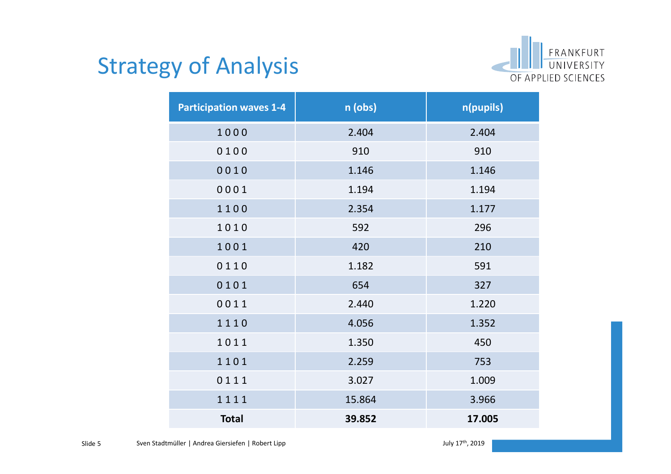

## Strategy of Analysis

| <b>Participation waves 1-4</b> | n (obs) | n(pupils) |
|--------------------------------|---------|-----------|
| 1000                           | 2.404   | 2.404     |
| 0100                           | 910     | 910       |
| 0010                           | 1.146   | 1.146     |
| 0001                           | 1.194   | 1.194     |
| 1100                           | 2.354   | 1.177     |
| 1010                           | 592     | 296       |
| 1001                           | 420     | 210       |
| 0110                           | 1.182   | 591       |
| 0101                           | 654     | 327       |
| 0011                           | 2.440   | 1.220     |
| 1110                           | 4.056   | 1.352     |
| 1011                           | 1.350   | 450       |
| 1101                           | 2.259   | 753       |
| 0111                           | 3.027   | 1.009     |
| 1111                           | 15.864  | 3.966     |
| <b>Total</b>                   | 39.852  | 17.005    |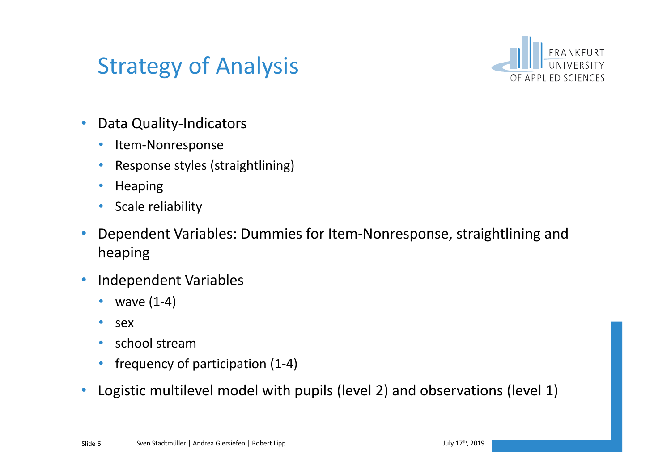### Strategy of Analysis



- Data Quality-Indicators
	- Item-Nonresponse
	- Response styles (straightlining)
	- Heaping
	- Scale reliability
- Dependent Variables: Dummies for Item-Nonresponse, straightlining and heaping
- Independent Variables
	- wave  $(1-4)$
	- sex
	- school stream
	- frequency of participation (1-4)
- Logistic multilevel model with pupils (level 2) and observations (level 1)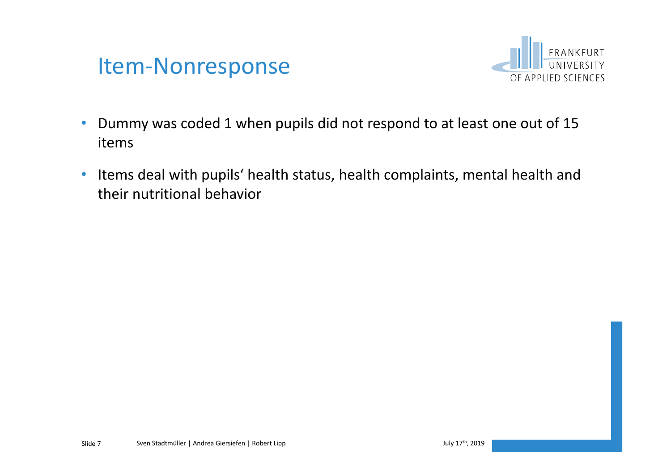



- Dummy was coded 1 when pupils did not respond to at least one out of 15 items
- Items deal with pupils' health status, health complaints, mental health and their nutritional behavior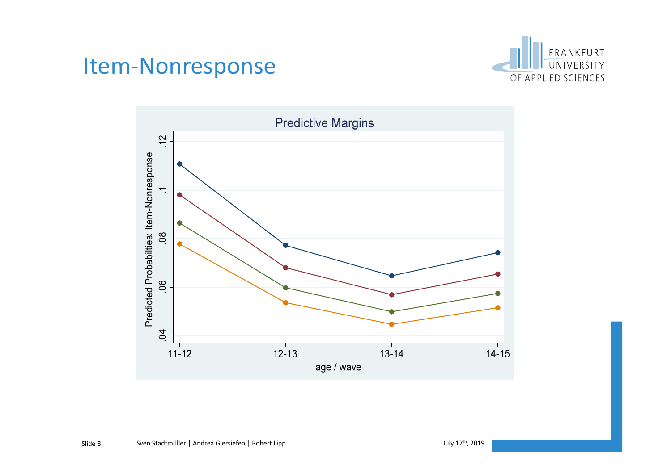#### Item-Nonresponse



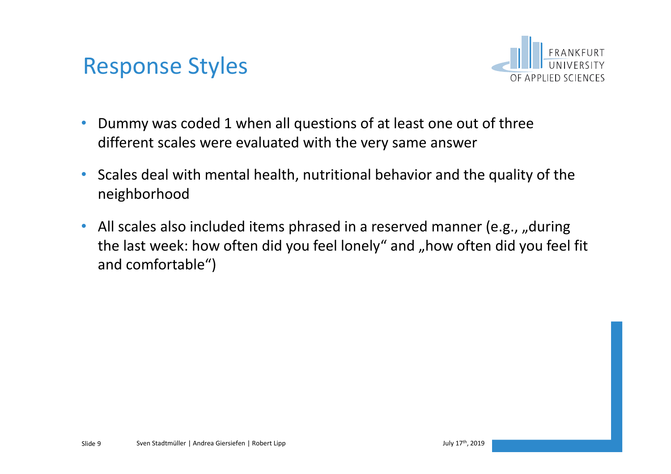



- Dummy was coded 1 when all questions of at least one out of three different scales were evaluated with the very same answer
- Scales deal with mental health, nutritional behavior and the quality of the neighborhood
- All scales also included items phrased in a reserved manner (e.g., "during the last week: how often did you feel lonely" and "how often did you feel fit and comfortable")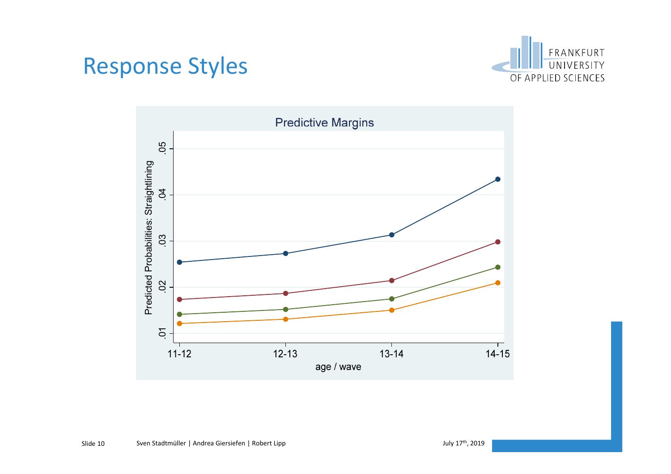#### Response Styles



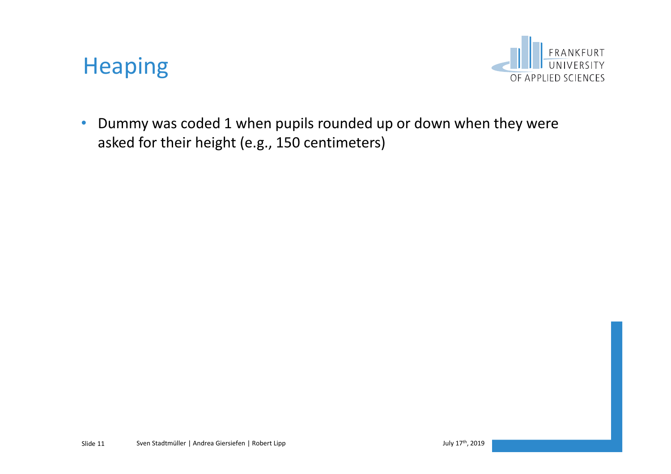#### Heaping



• Dummy was coded 1 when pupils rounded up or down when they were asked for their height (e.g., 150 centimeters)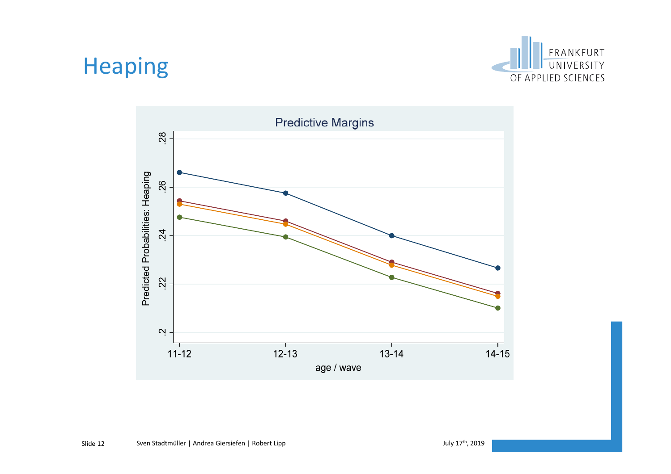### Heaping



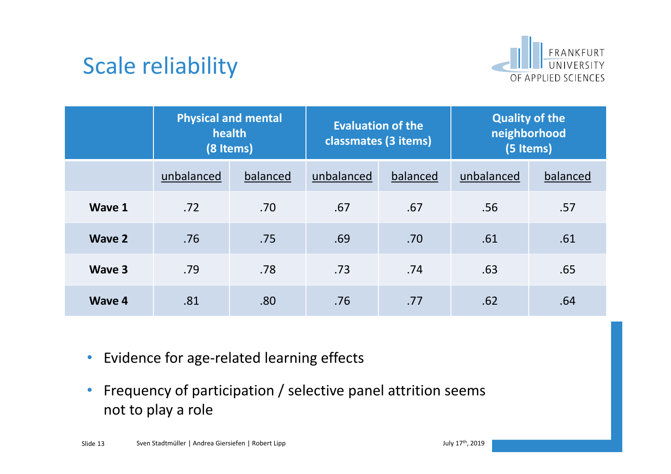

## Scale reliability

|               | <b>Physical and mental</b><br>health | (8 Items) | <b>Evaluation of the</b><br>classmates (3 items) |          | <b>Quality of the</b><br>neighborhood<br>(5 Items) |          |  |
|---------------|--------------------------------------|-----------|--------------------------------------------------|----------|----------------------------------------------------|----------|--|
|               | unbalanced                           | balanced  | unbalanced                                       | balanced | unbalanced                                         | balanced |  |
| Wave 1        | .72                                  | .70       | .67                                              | .67      | .56                                                | .57      |  |
| <b>Wave 2</b> | .76                                  | .75       | .69                                              | .70      | .61                                                | .61      |  |
| Wave 3        | .79                                  | .78       | .73                                              | .74      | .63                                                | .65      |  |
| Wave 4        | .81                                  | .80       | .76                                              | .77      | .62                                                | .64      |  |

- Evidence for age-related learning effects
- Frequency of participation / selective panel attrition seems not to play a role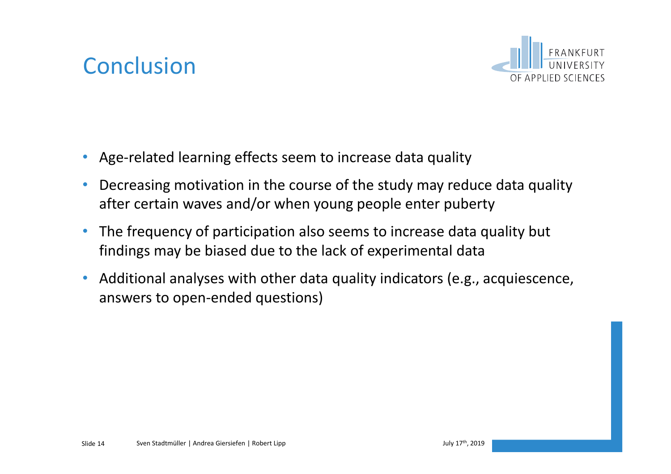## **Conclusion**



- Age-related learning effects seem to increase data quality
- Decreasing motivation in the course of the study may reduce data quality after certain waves and/or when young people enter puberty
- The frequency of participation also seems to increase data quality but findings may be biased due to the lack of experimental data
- Additional analyses with other data quality indicators (e.g., acquiescence, answers to open-ended questions)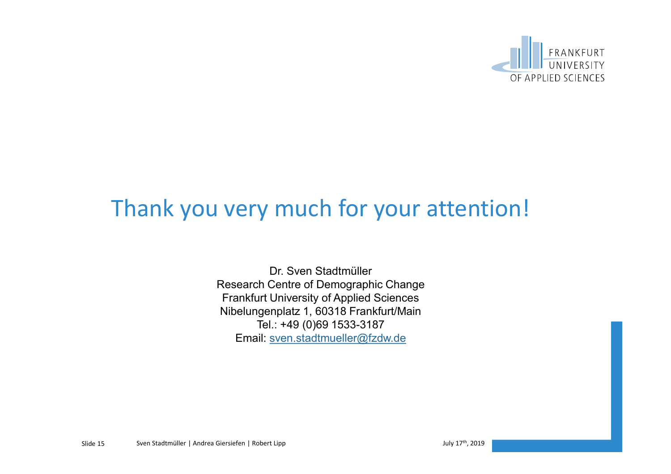

### Thank you very much for your attention!

Dr. Sven Stadtmüller Research Centre of Demographic Change Frankfurt University of Applied Sciences Nibelungenplatz 1, 60318 Frankfurt/Main Tel.: +49 (0)69 1533-3187 Email: sven.stadtmueller@fzdw.de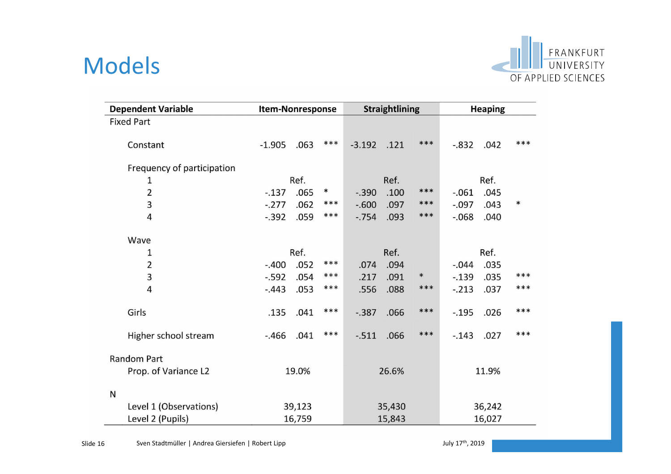#### Models



| <b>Dependent Variable</b>  | Item-Nonresponse |        |        | <b>Straightlining</b> |        | <b>Heaping</b> |          |      |        |
|----------------------------|------------------|--------|--------|-----------------------|--------|----------------|----------|------|--------|
| <b>Fixed Part</b>          |                  |        |        |                       |        |                |          |      |        |
| Constant                   | $-1.905$         | .063   | $***$  | $-3.192$              | .121   | ***            | $-.832$  | .042 | ***    |
| Frequency of participation |                  |        |        |                       |        |                |          |      |        |
| 1                          | Ref.             |        |        | Ref.                  |        |                | Ref.     |      |        |
| $\overline{2}$             | $-137$           | .065   | $\ast$ | $-.390$               | .100   | ***            | $-.061$  | .045 |        |
| 3                          | $-.277$          | .062   | ***    | $-600$                | .097   | ***            | $-.097$  | .043 | $\ast$ |
| 4                          | $-.392$          | .059   | ***    | $-0.754$              | .093   | $***$          | $-0.068$ | .040 |        |
| Wave                       |                  |        |        |                       |        |                |          |      |        |
| 1                          |                  | Ref.   |        |                       | Ref.   |                |          | Ref. |        |
| $\overline{2}$             | $-.400$          | .052   | ***    | .074                  | .094   |                | $-.044$  | .035 |        |
| 3                          | $-0.592$         | .054   | ***    | .217                  | .091   | $\ast$         | $-.139$  | .035 | ***    |
| 4                          | $-.443$          | .053   | ***    | .556                  | .088   | $***$          | $-.213$  | .037 | ***    |
| Girls                      | .135             | .041   | ***    | $-0.387$              | .066   | ***            | $-.195$  | .026 | ***    |
| Higher school stream       | $-.466$          | .041   | ***    | $-0.511$              | .066   | ***            | $-.143$  | .027 | ***    |
| <b>Random Part</b>         |                  |        |        |                       |        |                |          |      |        |
| Prop. of Variance L2       | 19.0%            |        | 26.6%  |                       | 11.9%  |                |          |      |        |
| N                          |                  |        |        |                       |        |                |          |      |        |
| Level 1 (Observations)     |                  | 39,123 |        | 35,430                |        | 36,242         |          |      |        |
| Level 2 (Pupils)           | 16,759           |        | 15,843 |                       | 16,027 |                |          |      |        |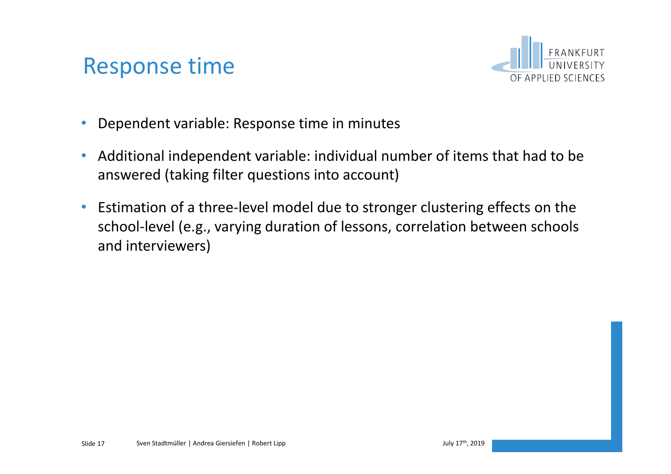### Response time



- Dependent variable: Response time in minutes
- Additional independent variable: individual number of items that had to be answered (taking filter questions into account)
- Estimation of a three-level model due to stronger clustering effects on the school-level (e.g., varying duration of lessons, correlation between schools and interviewers)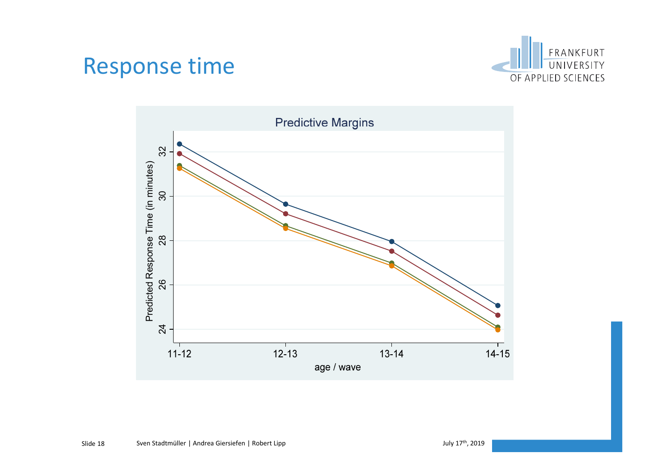#### Response time